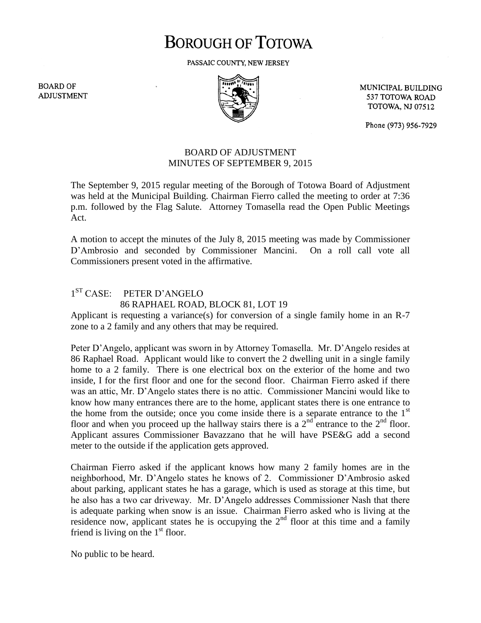## **BOROUGH OF TOTOWA**

PASSAIC COUNTY, NEW JERSEY

**BOARD OF ADJUSTMENT** 



MUNICIPAL BUILDING 537 TOTOWA ROAD **TOTOWA, NJ 07512** 

Phone (973) 956-7929

## BOARD OF ADJUSTMENT MINUTES OF SEPTEMBER 9, 2015

The September 9, 2015 regular meeting of the Borough of Totowa Board of Adjustment was held at the Municipal Building. Chairman Fierro called the meeting to order at 7:36 p.m. followed by the Flag Salute. Attorney Tomasella read the Open Public Meetings Act.

A motion to accept the minutes of the July 8, 2015 meeting was made by Commissioner D'Ambrosio and seconded by Commissioner Mancini. On a roll call vote all Commissioners present voted in the affirmative.

## 1<sup>ST</sup> CASE: PETER D'ANGELO 86 RAPHAEL ROAD, BLOCK 81, LOT 19

Applicant is requesting a variance(s) for conversion of a single family home in an R-7 zone to a 2 family and any others that may be required.

Peter D'Angelo, applicant was sworn in by Attorney Tomasella. Mr. D'Angelo resides at 86 Raphael Road. Applicant would like to convert the 2 dwelling unit in a single family home to a 2 family. There is one electrical box on the exterior of the home and two inside, I for the first floor and one for the second floor. Chairman Fierro asked if there was an attic, Mr. D'Angelo states there is no attic. Commissioner Mancini would like to know how many entrances there are to the home, applicant states there is one entrance to the home from the outside; once you come inside there is a separate entrance to the  $1<sup>st</sup>$ floor and when you proceed up the hallway stairs there is a  $2<sup>nd</sup>$  entrance to the  $2<sup>nd</sup>$  floor. Applicant assures Commissioner Bavazzano that he will have PSE&G add a second meter to the outside if the application gets approved.

Chairman Fierro asked if the applicant knows how many 2 family homes are in the neighborhood, Mr. D'Angelo states he knows of 2. Commissioner D'Ambrosio asked about parking, applicant states he has a garage, which is used as storage at this time, but he also has a two car driveway. Mr. D'Angelo addresses Commissioner Nash that there is adequate parking when snow is an issue. Chairman Fierro asked who is living at the residence now, applicant states he is occupying the  $2<sup>nd</sup>$  floor at this time and a family friend is living on the  $1<sup>st</sup>$  floor.

No public to be heard.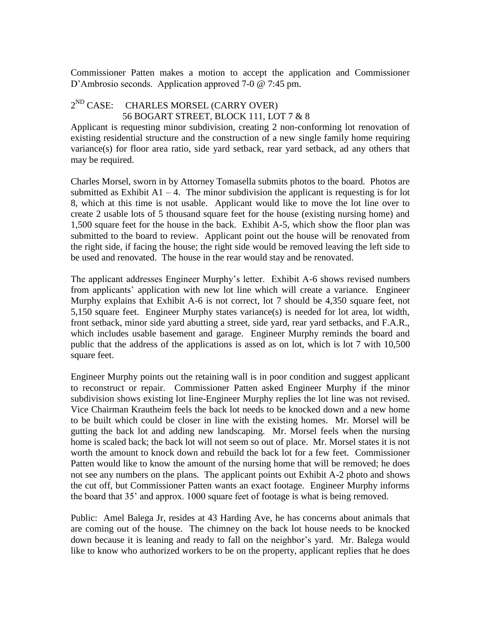Commissioner Patten makes a motion to accept the application and Commissioner D'Ambrosio seconds. Application approved 7-0 @ 7:45 pm.

## 2<sup>ND</sup> CASE: CHARLES MORSEL (CARRY OVER) 56 BOGART STREET, BLOCK 111, LOT 7 & 8

Applicant is requesting minor subdivision, creating 2 non-conforming lot renovation of existing residential structure and the construction of a new single family home requiring variance(s) for floor area ratio, side yard setback, rear yard setback, ad any others that may be required.

Charles Morsel, sworn in by Attorney Tomasella submits photos to the board. Photos are submitted as Exhibit  $A1 - 4$ . The minor subdivision the applicant is requesting is for lot 8, which at this time is not usable. Applicant would like to move the lot line over to create 2 usable lots of 5 thousand square feet for the house (existing nursing home) and 1,500 square feet for the house in the back. Exhibit A-5, which show the floor plan was submitted to the board to review. Applicant point out the house will be renovated from the right side, if facing the house; the right side would be removed leaving the left side to be used and renovated. The house in the rear would stay and be renovated.

The applicant addresses Engineer Murphy's letter. Exhibit A-6 shows revised numbers from applicants' application with new lot line which will create a variance. Engineer Murphy explains that Exhibit A-6 is not correct, lot 7 should be 4,350 square feet, not 5,150 square feet. Engineer Murphy states variance(s) is needed for lot area, lot width, front setback, minor side yard abutting a street, side yard, rear yard setbacks, and F.A.R., which includes usable basement and garage. Engineer Murphy reminds the board and public that the address of the applications is assed as on lot, which is lot 7 with 10,500 square feet.

Engineer Murphy points out the retaining wall is in poor condition and suggest applicant to reconstruct or repair. Commissioner Patten asked Engineer Murphy if the minor subdivision shows existing lot line-Engineer Murphy replies the lot line was not revised. Vice Chairman Krautheim feels the back lot needs to be knocked down and a new home to be built which could be closer in line with the existing homes. Mr. Morsel will be gutting the back lot and adding new landscaping. Mr. Morsel feels when the nursing home is scaled back; the back lot will not seem so out of place. Mr. Morsel states it is not worth the amount to knock down and rebuild the back lot for a few feet. Commissioner Patten would like to know the amount of the nursing home that will be removed; he does not see any numbers on the plans. The applicant points out Exhibit A-2 photo and shows the cut off, but Commissioner Patten wants an exact footage. Engineer Murphy informs the board that 35' and approx. 1000 square feet of footage is what is being removed.

Public: Amel Balega Jr, resides at 43 Harding Ave, he has concerns about animals that are coming out of the house. The chimney on the back lot house needs to be knocked down because it is leaning and ready to fall on the neighbor's yard. Mr. Balega would like to know who authorized workers to be on the property, applicant replies that he does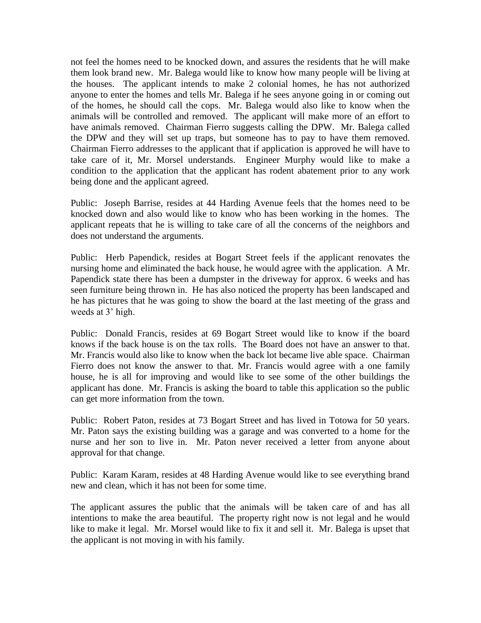not feel the homes need to be knocked down, and assures the residents that he will make them look brand new. Mr. Balega would like to know how many people will be living at the houses. The applicant intends to make 2 colonial homes, he has not authorized anyone to enter the homes and tells Mr. Balega if he sees anyone going in or coming out of the homes, he should call the cops. Mr. Balega would also like to know when the animals will be controlled and removed. The applicant will make more of an effort to have animals removed. Chairman Fierro suggests calling the DPW. Mr. Balega called the DPW and they will set up traps, but someone has to pay to have them removed. Chairman Fierro addresses to the applicant that if application is approved he will have to take care of it, Mr. Morsel understands. Engineer Murphy would like to make a condition to the application that the applicant has rodent abatement prior to any work being done and the applicant agreed.

Public: Joseph Barrise, resides at 44 Harding Avenue feels that the homes need to be knocked down and also would like to know who has been working in the homes. The applicant repeats that he is willing to take care of all the concerns of the neighbors and does not understand the arguments.

Public: Herb Papendick, resides at Bogart Street feels if the applicant renovates the nursing home and eliminated the back house, he would agree with the application. A Mr. Papendick state there has been a dumpster in the driveway for approx. 6 weeks and has seen furniture being thrown in. He has also noticed the property has been landscaped and he has pictures that he was going to show the board at the last meeting of the grass and weeds at 3' high.

Public: Donald Francis, resides at 69 Bogart Street would like to know if the board knows if the back house is on the tax rolls. The Board does not have an answer to that. Mr. Francis would also like to know when the back lot became live able space. Chairman Fierro does not know the answer to that. Mr. Francis would agree with a one family house, he is all for improving and would like to see some of the other buildings the applicant has done. Mr. Francis is asking the board to table this application so the public can get more information from the town.

Public: Robert Paton, resides at 73 Bogart Street and has lived in Totowa for 50 years. Mr. Paton says the existing building was a garage and was converted to a home for the nurse and her son to live in. Mr. Paton never received a letter from anyone about approval for that change.

Public: Karam Karam, resides at 48 Harding Avenue would like to see everything brand new and clean, which it has not been for some time.

The applicant assures the public that the animals will be taken care of and has all intentions to make the area beautiful. The property right now is not legal and he would like to make it legal. Mr. Morsel would like to fix it and sell it. Mr. Balega is upset that the applicant is not moving in with his family.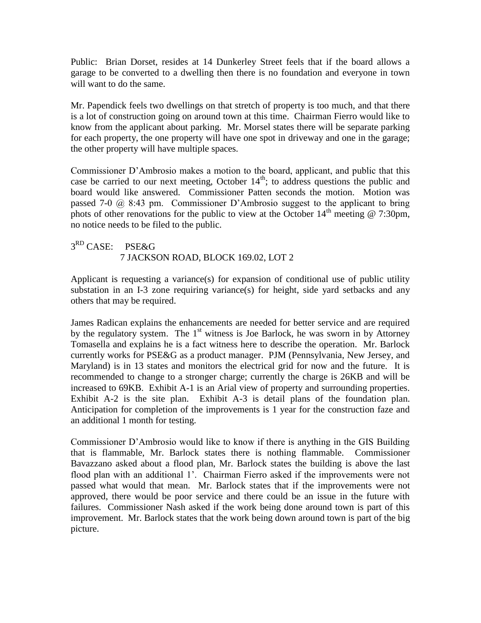Public: Brian Dorset, resides at 14 Dunkerley Street feels that if the board allows a garage to be converted to a dwelling then there is no foundation and everyone in town will want to do the same.

Mr. Papendick feels two dwellings on that stretch of property is too much, and that there is a lot of construction going on around town at this time. Chairman Fierro would like to know from the applicant about parking. Mr. Morsel states there will be separate parking for each property, the one property will have one spot in driveway and one in the garage; the other property will have multiple spaces.

Commissioner D'Ambrosio makes a motion to the board, applicant, and public that this case be carried to our next meeting, October  $14<sup>th</sup>$ ; to address questions the public and board would like answered. Commissioner Patten seconds the motion. Motion was passed 7-0 @ 8:43 pm. Commissioner D'Ambrosio suggest to the applicant to bring phots of other renovations for the public to view at the October  $14<sup>th</sup>$  meeting @ 7:30pm, no notice needs to be filed to the public.

3<sup>RD</sup> CASE: PSE&G 7 JACKSON ROAD, BLOCK 169.02, LOT 2

Applicant is requesting a variance(s) for expansion of conditional use of public utility substation in an I-3 zone requiring variance(s) for height, side yard setbacks and any others that may be required.

James Radican explains the enhancements are needed for better service and are required by the regulatory system. The  $1<sup>st</sup>$  witness is Joe Barlock, he was sworn in by Attorney Tomasella and explains he is a fact witness here to describe the operation. Mr. Barlock currently works for PSE&G as a product manager. PJM (Pennsylvania, New Jersey, and Maryland) is in 13 states and monitors the electrical grid for now and the future. It is recommended to change to a stronger charge; currently the charge is 26KB and will be increased to 69KB. Exhibit A-1 is an Arial view of property and surrounding properties. Exhibit A-2 is the site plan. Exhibit A-3 is detail plans of the foundation plan. Anticipation for completion of the improvements is 1 year for the construction faze and an additional 1 month for testing.

Commissioner D'Ambrosio would like to know if there is anything in the GIS Building that is flammable, Mr. Barlock states there is nothing flammable. Commissioner Bavazzano asked about a flood plan, Mr. Barlock states the building is above the last flood plan with an additional 1'. Chairman Fierro asked if the improvements were not passed what would that mean. Mr. Barlock states that if the improvements were not approved, there would be poor service and there could be an issue in the future with failures. Commissioner Nash asked if the work being done around town is part of this improvement. Mr. Barlock states that the work being down around town is part of the big picture.